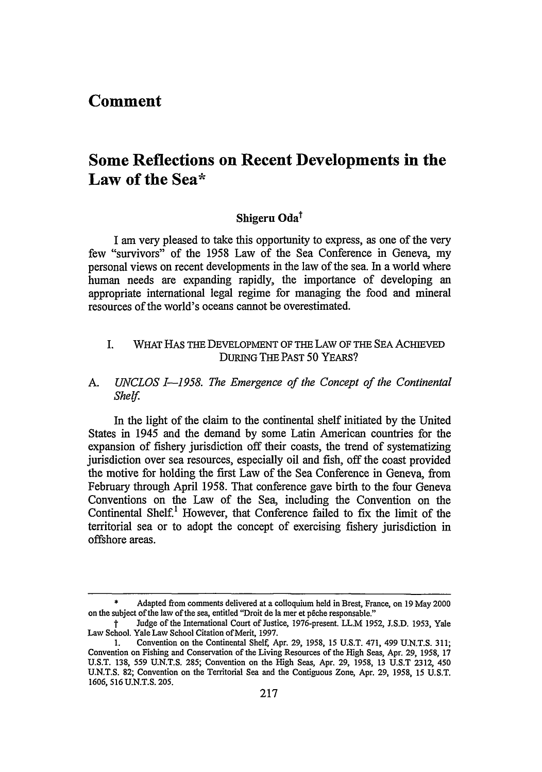# **Comment**

# **Some Reflections on Recent Developments in the Law of the Sea\***

# Shigeru Oda<sup>t</sup>

I am very pleased to take this opportunity to express, as one of the very few "survivors" of the 1958 Law of the Sea Conference in Geneva, my personal views on recent developments in the law of the sea. In a world where human needs are expanding rapidly, the importance of developing an appropriate international legal regime for managing the food and mineral resources of the world's oceans cannot be overestimated.

- I. WHAT HAS THE DEVELOPMENT OF THE LAW OF THE SEA ACHIEVED DURING THE PAST **50** YEARS?
- *A. UNCLOS 1-1958. The Emergence of the Concept of the Continental Shelf.*

In the light of the claim to the continental shelf initiated by the United States in 1945 and the demand by some Latin American countries for the expansion of fishery jurisdiction off their coasts, the trend of systematizing jurisdiction over sea resources, especially oil and fish, off the coast provided the motive for holding the first Law of the Sea Conference in Geneva, from February through April 1958. That conference gave birth to the four Geneva Conventions on the Law of the Sea, including the Convention on the Continental Shelf.' However, that Conference failed to fix the limit of the territorial sea or to adopt the concept of exercising fishery jurisdiction in offshore areas.

Adapted from comments delivered at a colloquium held in Brest, France, on 19 May 2000 on the subject of the law of the sea, entitled "Droit de la mer et p6che responsable."

t Judge of the International Court of Justice, 1976-present. LL.M 1952, **J.S.D.** 1953, Yale Law School. Yale Law School Citation of Merit, 1997.

<sup>1.</sup> Convention on the Continental Shelf Apr. 29, 1958, 15 U.S.T. 471, 499 U.N.T.S. 311; Convention on Fishing and Conservation of the Living Resources of the High Seas, Apr. 29, 1958, 17 U.S.T. 138, 559 U.N.T.S. 285; Convention on the High Seas, Apr. 29, 1958, 13 U.S.T 2312, 450 U.N.T.S. 82; Convention on the Territorial Sea and the Contiguous Zone, Apr. 29, 1958, 15 U.S.T. 1606, 516 U.N.T.S. 205.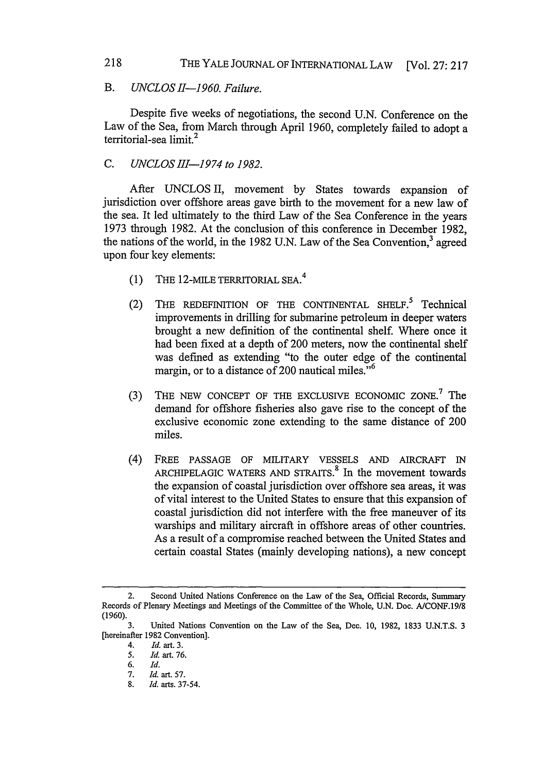# *B. UNCLOSI-1960. Failure.*

Despite five weeks of negotiations, the second U.N. Conference on the Law of the Sea, from March through April 1960, completely failed to adopt a territorial-sea limit<sup>2</sup>

# *C. UNCLOS IH-1974 to 1982.*

After UNCLOS II, movement by States towards expansion of jurisdiction over offshore areas gave birth to the movement for a new law of the sea. It led ultimately to the third Law of the Sea Conference in the years 1973 through 1982. At the conclusion of this conference in December 1982, the nations of the world, in the 1982 U.N. Law of the Sea Convention,<sup>3</sup> agreed upon four key elements:

- (1) THE 12-MILE TERRITORIAL SEA. <sup>4</sup>
- (2) THE REDEFINITION OF THE CONTINENTAL SHELF.<sup>5</sup> Technical improvements in drilling for submarine petroleum in deeper waters brought a new definition of the continental shelf. Where once it had been fixed at a depth of 200 meters, now the continental shelf was defined as extending "to the outer edge of the continental margin, or to a distance of 200 nautical miles. $16$
- (3) THE NEW CONCEPT OF THE EXCLUSIVE ECONOMIC ZONE.<sup>7</sup> The demand for offshore fisheries also gave rise to the concept of the exclusive economic zone extending to the same distance of 200 miles.
- (4) FREE PASSAGE OF MILITARY VESSELS AND AIRCRAFT IN ARCHIPELAGIC WATERS AND STRAITS.<sup>8</sup> In the movement towards the expansion of coastal jurisdiction over offshore sea areas, it was of vital interest to the United States to ensure that this expansion of coastal jurisdiction did not interfere with the free maneuver of its warships and military aircraft in offshore areas of other countries. As a result of a compromise reached between the United States and certain coastal States (mainly developing nations), a new concept

<sup>2.</sup> Second United Nations Conference on the Law of the Sea, Official Records, Summary Records of Plenary Meetings and Meetings of the Committee of the Whole, **U.N.** Doc. **A/CONF.19/8 (1960).**

**<sup>3.</sup>** United Nations Convention on the Law of the Sea, Dec. **10, 1982, 1833 U.N.T.S. 3** [hereinafter **1982** Convention].

<sup>4.</sup> *Id.* art. **3.**

**<sup>5.</sup> Id.** art. **76.**

**<sup>6.</sup> Id.**

**<sup>7.</sup> Id.** art. **57.**

**<sup>8.</sup>** *Id.* arts. **37-54.**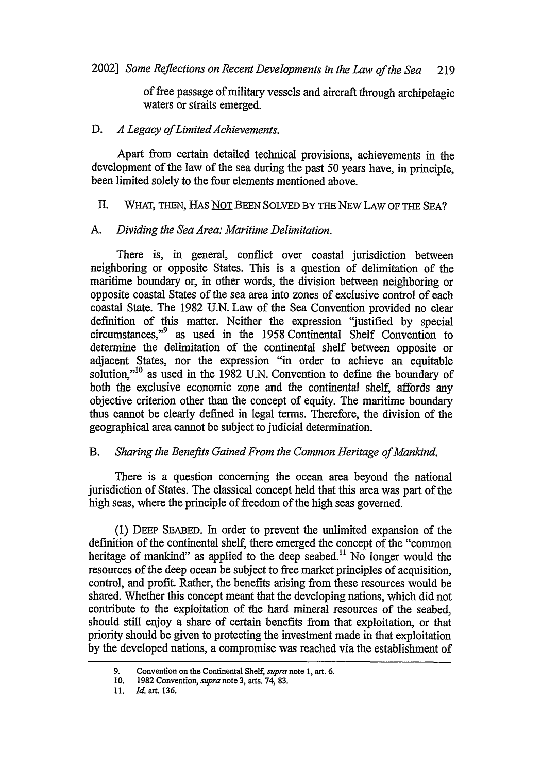of free passage of military vessels and aircraft through archipelagic waters or straits emerged.

#### D. *A Legacy of Limited Achievements.*

Apart from certain detailed technical provisions, achievements in the development of the law of the sea during the past 50 years have, in principle, been limited solely to the four elements mentioned above.

#### *II.* WHAT, THEN, HAS NOT BEEN SOLVED BY THE NEW LAW OF **THE** SEA?

## *A. Dividing the Sea Area: Maritime Delimitation.*

There is, in general, conflict over coastal jurisdiction between neighboring or opposite States. This is a question of delimitation of the maritime boundary or, in other words, the division between neighboring or opposite coastal States of the sea area into zones of exclusive control of each coastal State. The 1982 U.N. Law of the Sea Convention provided no clear definition of this matter. Neither the expression "justified by special circumstances,"<sup>9</sup> as used in the 1958 Continental Shelf Convention to determine the delimitation of the continental shelf between opposite or adjacent States, nor the expression "in order to achieve an equitable solution,"<sup>10</sup> as used in the 1982 U.N. Convention to define the boundary of both the exclusive economic zone and the continental shelf, affords any objective criterion other than the concept of equity. The maritime boundary thus cannot be clearly defined in legal terms. Therefore, the division of the geographical area cannot be subject to judicial determination.

# *B. Sharing the Benefits Gained From the Common Heritage of Mankind.*

There is a question concerning the ocean area beyond the national jurisdiction of States. The classical concept held that this area was part of the high seas, where the principle of freedom of the high seas governed.

(1) DEEP SEABED. In order to prevent the unlimited expansion of the definition of the continental shelf, there emerged the concept of the "common heritage of mankind" as applied to the deep seabed.<sup>11</sup> No longer would the resources of the deep ocean be subject to free market principles of acquisition, control, and profit. Rather, the benefits arising from these resources would be shared. Whether this concept meant that the developing nations, which did not contribute to the exploitation of the hard mineral resources of the seabed, should still enjoy a share of certain benefits from that exploitation, or that priority should be given to protecting the investment made in that exploitation by the developed nations, a compromise was reached via the establishment of

**<sup>9.</sup>** Convention on the Continental Shelf, *supra* **note 1,** art. **6.**

**<sup>10. 1982</sup>** Convention, *supra* note **3,** arts. 74, **83.**

**<sup>11.</sup>** *Id.* art. **136.**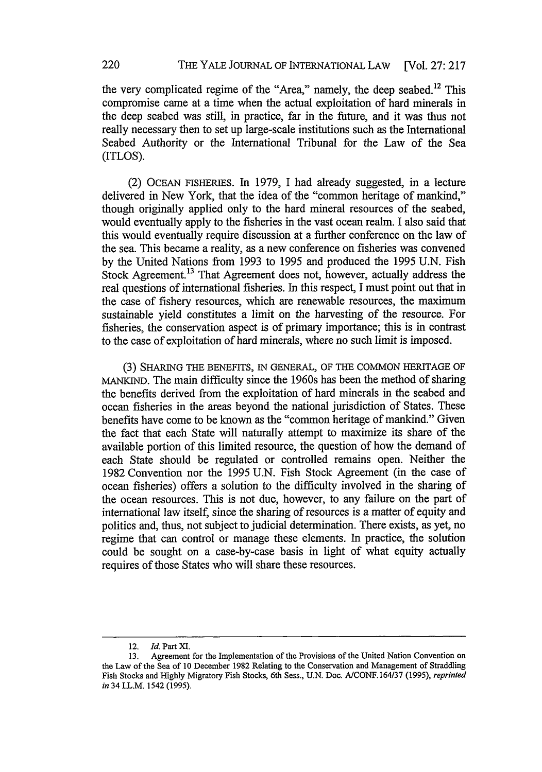the very complicated regime of the "Area," namely, the deep seabed. $^{12}$  This compromise came at a time when the actual exploitation of hard minerals in the deep seabed was still, in practice, far in the future, and it was thus not really necessary then to set up large-scale institutions such as the International Seabed Authority or the International Tribunal for the Law of the Sea (ITLOS).

(2) OCEAN FISHERIES. In 1979, I had already suggested, in a lecture delivered in New York, that the idea of the "common heritage of mankind," though originally applied only to the hard mineral resources of the seabed, would eventually apply to the fisheries in the vast ocean realm. I also said that this would eventually require discussion at a further conference on the law of the sea. This became a reality, as a new conference on fisheries was convened by the United Nations from 1993 to 1995 and produced the 1995 U.N. Fish Stock Agreement.<sup>13</sup> That Agreement does not, however, actually address the real questions of international fisheries. In this respect, I must point out that in the case of fishery resources, which are renewable resources, the maximum sustainable yield constitutes a limit on the harvesting of the resource. For fisheries, the conservation aspect is of primary importance; this is in contrast to the case of exploitation of hard minerals, where no such limit is imposed.

(3) SHARING THE BENEFITS, IN GENERAL, OF THE COMMON HERITAGE OF MANKIND. The main difficulty since the 1960s has been the method of sharing the benefits derived from the exploitation of hard minerals in the seabed and ocean fisheries in the areas beyond the national jurisdiction of States. These benefits have come to be known as the "common heritage of mankind." Given the fact that each State will naturally attempt to maximize its share of the available portion of this limited resource, the question of how the demand of each State should be regulated or controlled remains open. Neither the 1982 Convention nor the 1995 U.N. Fish Stock Agreement (in the case of ocean fisheries) offers a solution to the difficulty involved in the sharing of the ocean resources. This is not due, however, to any failure on the part of international law itself, since the sharing of resources is a matter of equity and politics and, thus, not subject to judicial determination. There exists, as yet, no regime that can control or manage these elements. In practice, the solution could be sought on a case-by-case basis in light of what equity actually requires of those States who will share these resources.

<sup>12.</sup> *Id.* Part *XI.*

<sup>13.</sup> Agreement for the Implementation of the Provisions of the United Nation Convention on the Law of the Sea of 10 December 1982 Relating to the Conservation and Management of Straddling Fish Stocks and Highly Migratory Fish Stocks, 6th Sess., U.N. Doc. A/CONF.164/37 (1995), *reprinted in* 34 I.L.M. 1542 (1995).